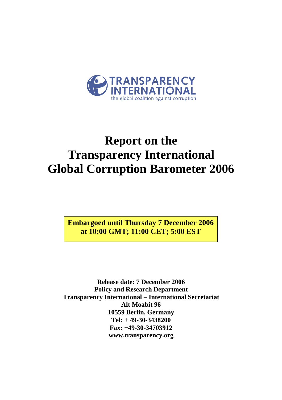

# **Report on the Transparency International Global Corruption Barometer 2006**

**Embargoed until Thursday 7 December 2006 at 10:00 GMT; 11:00 CET; 5:00 EST** 

**Release date: 7 December 2006 Policy and Research Department Transparency International – International Secretariat Alt Moabit 96 10559 Berlin, Germany Tel: + 49-30-3438200 Fax: +49-30-34703912 www.transparency.org**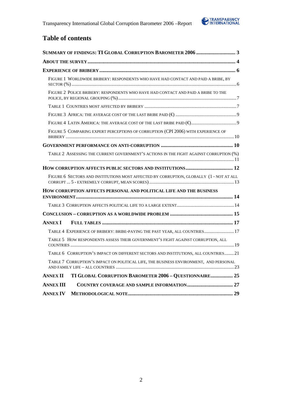

## **Table of contents**

| SUMMARY OF FINDINGS: TI GLOBAL CORRUPTION BAROMETER 2006  3                                                                                        |  |
|----------------------------------------------------------------------------------------------------------------------------------------------------|--|
|                                                                                                                                                    |  |
|                                                                                                                                                    |  |
| FIGURE 1 WORLDWIDE BRIBERY: RESPONDENTS WHO HAVE HAD CONTACT AND PAID A BRIBE, BY                                                                  |  |
| FIGURE 2 POLICE BRIBERY: RESPONDENTS WHO HAVE HAD CONTACT AND PAID A BRIBE TO THE                                                                  |  |
|                                                                                                                                                    |  |
|                                                                                                                                                    |  |
| $\textit{FIGURE 4 LATH AMERICA: THE AVERAGE COST OF THE LAST BRIBE PAD}(\textit{\textbf{E}}) \textit{}{\textit{}} \textit{}{\textit{}} \textit{0}$ |  |
| FIGURE 5 COMPARING EXPERT PERCEPTIONS OF CORRUPTION (CPI 2006) WITH EXPERIENCE OF                                                                  |  |
|                                                                                                                                                    |  |
| TABLE 2 ASSESSING THE CURRENT GOVERNMENT'S ACTIONS IN THE FIGHT AGAINST CORRUPTION (%)                                                             |  |
|                                                                                                                                                    |  |
| FIGURE 6 SECTORS AND INSTITUTIONS MOST AFFECTED BY CORRUPTION, GLOBALLY (1 - NOT AT ALL                                                            |  |
| HOW CORRUPTION AFFECTS PERSONAL AND POLITICAL LIFE AND THE BUSINESS                                                                                |  |
|                                                                                                                                                    |  |
|                                                                                                                                                    |  |
| <b>ANNEX I</b>                                                                                                                                     |  |
| TABLE 4 EXPERIENCE OF BRIBERY: BRIBE-PAYING THE PAST YEAR, ALL COUNTRIES 17                                                                        |  |
| TABLE 5 HOW RESPONDENTS ASSESS THEIR GOVERNMENT'S FIGHT AGAINST CORRUPTION, ALL                                                                    |  |
| TABLE 6 CORRUPTION'S IMPACT ON DIFFERENT SECTORS AND INSTITUTIONS, ALL COUNTRIES21                                                                 |  |
| TABLE 7 CORRUPTION'S IMPACT ON POLITICAL LIFE, THE BUSINESS ENVIRONMENT, AND PERSONAL                                                              |  |
| TI GLOBAL CORRUPTION BAROMETER 2006 - QUESTIONNAIRE 25<br><b>ANNEX II</b>                                                                          |  |
| <b>ANNEX III</b>                                                                                                                                   |  |
| <b>ANNEX IV</b>                                                                                                                                    |  |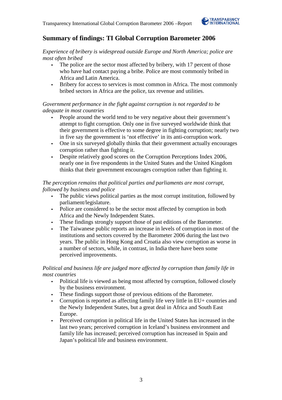

## **Summary of findings: TI Global Corruption Barometer 2006**

*Experience of bribery is widespread outside Europe and North America; police are most often bribed* 

- The police are the sector most affected by bribery, with 17 percent of those who have had contact paying a bribe. Police are most commonly bribed in Africa and Latin America.
- Bribery for access to services is most common in Africa. The most commonly bribed sectors in Africa are the police, tax revenue and utilities.

### *Government performance in the fight against corruption is not regarded to be adequate in most countries*

- People around the world tend to be very negative about their government's attempt to fight corruption. Only one in five surveyed worldwide think that their government is effective to some degree in fighting corruption; nearly two in five say the government is 'not effective' in its anti-corruption work.
- One in six surveyed globally thinks that their government actually encourages corruption rather than fighting it.
- Despite relatively good scores on the Corruption Perceptions Index 2006, nearly one in five respondents in the United States and the United Kingdom thinks that their government encourages corruption rather than fighting it.

### *The perception remains that political parties and parliaments are most corrupt, followed by business and police*

- The public views political parties as the most corrupt institution, followed by parliament/legislature.
- Police are considered to be the sector most affected by corruption in both Africa and the Newly Independent States.
- These findings strongly support those of past editions of the Barometer.
- The Taiwanese public reports an increase in levels of corruption in most of the institutions and sectors covered by the Barometer 2006 during the last two years. The public in Hong Kong and Croatia also view corruption as worse in a number of sectors, while, in contrast, in India there have been some perceived improvements.

## *Political and business life are judged more affected by corruption than family life in most countries*

- Political life is viewed as being most affected by corruption, followed closely by the business environment.
- These findings support those of previous editions of the Barometer.
- Corruption is reported as affecting family life very little in EU+ countries and the Newly Independent States, but a great deal in Africa and South East Europe.
- Perceived corruption in political life in the United States has increased in the last two years; perceived corruption in Iceland's business environment and family life has increased; perceived corruption has increased in Spain and Japan's political life and business environment.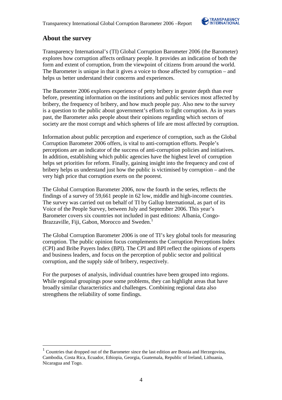

## **About the survey**

 $\overline{a}$ 

Transparency International's (TI) Global Corruption Barometer 2006 (the Barometer) explores how corruption affects ordinary people. It provides an indication of both the form and extent of corruption, from the viewpoint of citizens from around the world. The Barometer is unique in that it gives a voice to those affected by corruption – and helps us better understand their concerns and experiences.

The Barometer 2006 explores experience of petty bribery in greater depth than ever before, presenting information on the institutions and public services most affected by bribery, the frequency of bribery, and how much people pay. Also new to the survey is a question to the public about government's efforts to fight corruption. As in years past, the Barometer asks people about their opinions regarding which sectors of society are the most corrupt and which spheres of life are most affected by corruption.

Information about public perception and experience of corruption, such as the Global Corruption Barometer 2006 offers, is vital to anti-corruption efforts. People's perceptions are an indicator of the success of anti-corruption policies and initiatives. In addition, establishing which public agencies have the highest level of corruption helps set priorities for reform. Finally, gaining insight into the frequency and cost of bribery helps us understand just how the public is victimised by corruption – and the very high price that corruption exerts on the poorest.

The Global Corruption Barometer 2006, now the fourth in the series, reflects the findings of a survey of 59,661 people in 62 low, middle and high-income countries. The survey was carried out on behalf of TI by Gallup International, as part of its Voice of the People Survey, between July and September 2006. This year's Barometer covers six countries not included in past editions: Albania, Congo-Brazzaville, Fiji, Gabon, Morocco and Sweden.<sup>1</sup>

The Global Corruption Barometer 2006 is one of TI's key global tools for measuring corruption. The public opinion focus complements the Corruption Perceptions Index (CPI) and Bribe Payers Index (BPI). The CPI and BPI reflect the opinions of experts and business leaders, and focus on the perception of public sector and political corruption, and the supply side of bribery, respectively.

For the purposes of analysis, individual countries have been grouped into regions. While regional groupings pose some problems, they can highlight areas that have broadly similar characteristics and challenges. Combining regional data also strengthens the reliability of some findings.

<sup>&</sup>lt;sup>1</sup> Countries that dropped out of the Barometer since the last edition are Bosnia and Herzegovina, Cambodia, Costa Rica, Ecuador, Ethiopia, Georgia, Guatemala, Republic of Ireland, Lithuania, Nicaragua and Togo.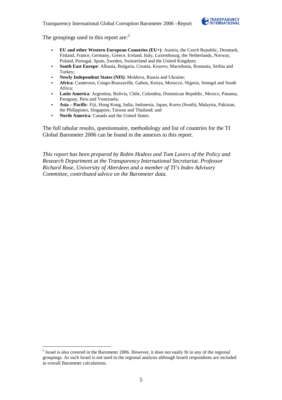

The groupings used in this report are: $<sup>2</sup>$ </sup>

- **EU and other Western European Countries (EU+)**: Austria, the Czech Republic, Denmark, Finland, France, Germany, Greece, Iceland, Italy, Luxembourg, the Netherlands, Norway, Poland, Portugal, Spain, Sweden, Switzerland and the United Kingdom;
- **South East Europe**: Albania, Bulgaria, Croatia, Kosovo, Macedonia, Romania, Serbia and Turkey;
- **Newly Independent States (NIS)**: Moldova, Russia and Ukraine;
- **Africa**: Cameroon, Congo-Brazzaville, Gabon, Kenya, Morocco, Nigeria, Senegal and South Africa;
- **Latin America**: Argentina, Bolivia, Chile, Colombia, Dominican Republic, Mexico, Panama, Paraguay, Peru and Venezuela;
- **Asia Pacific**: Fiji, Hong Kong, India, Indonesia, Japan, Korea (South), Malaysia, Pakistan, the Philippines, Singapore, Taiwan and Thailand; and
- **North America**: Canada and the United States.

The full tabular results, questionnaire, methodology and list of countries for the TI Global Barometer 2006 can be found in the annexes to this report.

*This report has been prepared by Robin Hodess and Tom Lavers of the Policy and Research Department at the Transparency International Secretariat. Professor Richard Rose, University of Aberdeen and a member of TI's Index Advisory Committee, contributed advice on the Barometer data.* 

 $\overline{a}$ 

<sup>&</sup>lt;sup>2</sup> Israel is also covered in the Barometer 2006. However, it does not easily fit in any of the regional groupings. As such Israel is not used in the regional analysis although Israeli respondents are included in overall Barometer calculations.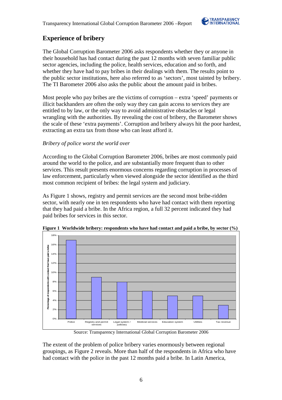

## **Experience of bribery**

The Global Corruption Barometer 2006 asks respondents whether they or anyone in their household has had contact during the past 12 months with seven familiar public sector agencies, including the police, health services, education and so forth, and whether they have had to pay bribes in their dealings with them. The results point to the public sector institutions, here also referred to as 'sectors', most tainted by bribery. The TI Barometer 2006 also asks the public about the amount paid in bribes.

Most people who pay bribes are the victims of corruption – extra 'speed' payments or illicit backhanders are often the only way they can gain access to services they are entitled to by law, or the only way to avoid administrative obstacles or legal wrangling with the authorities. By revealing the cost of bribery, the Barometer shows the scale of these 'extra payments'. Corruption and bribery always hit the poor hardest, extracting an extra tax from those who can least afford it.

### *Bribery of police worst the world over*

According to the Global Corruption Barometer 2006, bribes are most commonly paid around the world to the police, and are substantially more frequent than to other services. This result presents enormous concerns regarding corruption in processes of law enforcement, particularly when viewed alongside the sector identified as the third most common recipient of bribes: the legal system and judiciary.

As Figure 1 shows, registry and permit services are the second most bribe-ridden sector, with nearly one in ten respondents who have had contact with them reporting that they had paid a bribe. In the Africa region, a full 32 percent indicated they had paid bribes for services in this sector.



**Figure 1 Worldwide bribery: respondents who have had contact and paid a bribe, by sector (%)**

Source: Transparency International Global Corruption Barometer 2006

The extent of the problem of police bribery varies enormously between regional groupings, as Figure 2 reveals. More than half of the respondents in Africa who have had contact with the police in the past 12 months paid a bribe. In Latin America,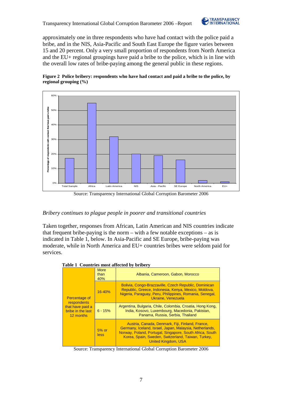

approximately one in three respondents who have had contact with the police paid a bribe, and in the NIS, Asia-Pacific and South East Europe the figure varies between 15 and 20 percent. Only a very small proportion of respondents from North America and the EU+ regional groupings have paid a bribe to the police, which is in line with the overall low rates of bribe-paying among the general public in these regions.





Source: Transparency International Global Corruption Barometer 2006

### *Bribery continues to plague people in poorer and transitional countries*

Taken together, responses from African, Latin American and NIS countries indicate that frequent bribe-paying is the norm – with a few notable exceptions – as is indicated in Table 1, below. In Asia-Pacific and SE Europe, bribe-paying was moderate, while in North America and EU+ countries bribes were seldom paid for services.

| Table 1 Countries most affected by bribery |  |
|--------------------------------------------|--|
|--------------------------------------------|--|

|                                                    | <b>More</b><br>than<br>40% | Albania, Cameroon, Gabon, Morocco                                                                                                                                                                                                                           |
|----------------------------------------------------|----------------------------|-------------------------------------------------------------------------------------------------------------------------------------------------------------------------------------------------------------------------------------------------------------|
| Percentage of<br>respondents                       | 16-40%                     | Bolivia, Congo-Brazzaville, Czech Republic, Dominican<br>Republic, Greece, Indonesia, Kenya, Mexico, Moldova,<br>Nigeria, Paraguay, Peru, Philippines, Romania, Senegal,<br>Ukraine, Venezuela                                                              |
| that have paid a<br>bribe in the last<br>12 months | $6 - 15%$                  | Argentina, Bulgaria, Chile, Colombia, Croatia, Hong Kong,<br>India, Kosovo, Luxembourg, Macedonia, Pakistan,<br>Panama, Russia, Serbia, Thailand                                                                                                            |
|                                                    | $5%$ or<br>less            | Austria, Canada, Denmark, Fiji, Finland, France,<br>Germany, Iceland, Israel, Japan, Malaysia, Netherlands,<br>Norway, Poland, Portugal, Singapore, South Africa, South<br>Korea, Spain, Sweden, Switzerland, Taiwan, Turkey,<br><b>United Kingdom, USA</b> |

Source: Transparency International Global Corruption Barometer 2006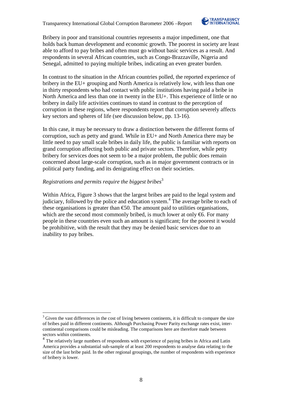

Bribery in poor and transitional countries represents a major impediment, one that holds back human development and economic growth. The poorest in society are least able to afford to pay bribes and often must go without basic services as a result. And respondents in several African countries, such as Congo-Brazzaville, Nigeria and Senegal, admitted to paying multiple bribes, indicating an even greater burden.

In contrast to the situation in the African countries polled, the reported experience of bribery in the EU+ grouping and North America is relatively low, with less than one in thirty respondents who had contact with public institutions having paid a bribe in North America and less than one in twenty in the EU+. This experience of little or no bribery in daily life activities continues to stand in contrast to the perception of corruption in these regions, where respondents report that corruption severely affects key sectors and spheres of life (see discussion below, pp. 13-16).

In this case, it may be necessary to draw a distinction between the different forms of corruption, such as petty and grand. While in EU+ and North America there may be little need to pay small scale bribes in daily life, the public is familiar with reports on grand corruption affecting both public and private sectors. Therefore, while petty bribery for services does not seem to be a major problem, the public does remain concerned about large-scale corruption, such as in major government contracts or in political party funding, and its denigrating effect on their societies.

## *Registrations and permits require the biggest bribes* 3

 $\overline{a}$ 

Within Africa, Figure 3 shows that the largest bribes are paid to the legal system and judiciary, followed by the police and education system.<sup>4</sup> The average bribe to each of these organisations is greater than  $\epsilon$ 50. The amount paid to utilities organisations, which are the second most commonly bribed, is much lower at only  $\epsilon$ 6. For many people in these countries even such an amount is significant; for the poorest it would be prohibitive, with the result that they may be denied basic services due to an inability to pay bribes.

 $3$  Given the vast differences in the cost of living between continents, it is difficult to compare the size of bribes paid in different continents. Although Purchasing Power Parity exchange rates exist, intercontinental comparisons could be misleading. The comparisons here are therefore made between sectors within continents.

<sup>&</sup>lt;sup>4</sup> The relatively large numbers of respondents with experience of paying bribes in Africa and Latin America provides a substantial sub-sample of at least 200 respondents to analyse data relating to the size of the last bribe paid. In the other regional groupings, the number of respondents with experience of bribery is lower.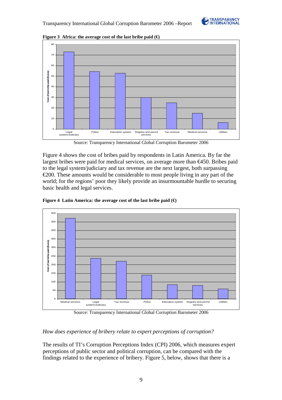



**Figure 3** Africa: the average cost of the last bribe paid  $(\epsilon)$ 

Source: Transparency International Global Corruption Barometer 2006

Figure 4 shows the cost of bribes paid by respondents in Latin America. By far the largest bribes were paid for medical services, on average more than €450. Bribes paid to the legal system/judiciary and tax revenue are the next largest, both surpassing  $\epsilon$ 200. These amounts would be considerable to most people living in any part of the world; for the regions' poor they likely provide an insurmountable hurdle to securing basic health and legal services.



**Figure 4 Latin America: the average cost of the last bribe paid (€)** 

Source: Transparency International Global Corruption Barometer 2006

## *How does experience of bribery relate to expert perceptions of corruption?*

The results of TI's Corruption Perceptions Index (CPI) 2006, which measures expert perceptions of public sector and political corruption, can be compared with the findings related to the experience of bribery. Figure 5, below, shows that there is a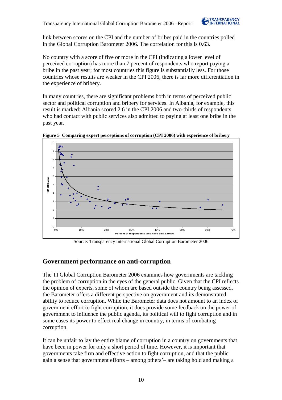

link between scores on the CPI and the number of bribes paid in the countries polled in the Global Corruption Barometer 2006. The correlation for this is 0.63.

No country with a score of five or more in the CPI (indicating a lower level of perceived corruption) has more than 7 percent of respondents who report paying a bribe in the past year; for most countries this figure is substantially less. For those countries whose results are weaker in the CPI 2006, there is far more differentiation in the experience of bribery.

In many countries, there are significant problems both in terms of perceived public sector and political corruption and bribery for services. In Albania, for example, this result is marked: Albania scored 2.6 in the CPI 2006 and two-thirds of respondents who had contact with public services also admitted to paying at least one bribe in the past year.



**Figure 5 Comparing expert perceptions of corruption (CPI 2006) with experience of bribery** 

Source: Transparency International Global Corruption Barometer 2006

## **Government performance on anti-corruption**

The TI Global Corruption Barometer 2006 examines how governments are tackling the problem of corruption in the eyes of the general public. Given that the CPI reflects the opinion of experts, some of whom are based outside the country being assessed, the Barometer offers a different perspective on government and its demonstrated ability to reduce corruption. While the Barometer data does not amount to an index of government effort to fight corruption, it does provide some feedback on the power of government to influence the public agenda, its political will to fight corruption and in some cases its power to effect real change in country, in terms of combating corruption.

It can be unfair to lay the entire blame of corruption in a country on governments that have been in power for only a short period of time. However, it is important that governments take firm and effective action to fight corruption, and that the public gain a sense that government efforts – among others'– are taking hold and making a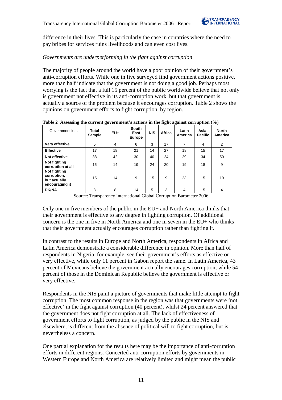difference in their lives. This is particularly the case in countries where the need to pay bribes for services ruins livelihoods and can even cost lives.

### *Governments are underperforming in the fight against corruption*

The majority of people around the world have a poor opinion of their government's anti-corruption efforts. While one in five surveyed find government actions positive, more than half indicate that the government is not doing a good job. Perhaps most worrying is the fact that a full 15 percent of the public worldwide believe that not only is government not effective in its anti-corruption work, but that government is actually a source of the problem because it encourages corruption. Table 2 shows the opinions on government efforts to fight corruption, by region.

| Government is                                                 | Total<br>Sample | $EU+$ | South<br>East<br>Europe | <b>NIS</b> | Africa | Latin<br>America | Asia-<br><b>Pacific</b> | <b>North</b><br>America |
|---------------------------------------------------------------|-----------------|-------|-------------------------|------------|--------|------------------|-------------------------|-------------------------|
| Very effective                                                | 5               | 4     | 6                       | 3          | 17     | 7                | 4                       | 2                       |
| <b>Effective</b>                                              | 17              | 18    | 21                      | 14         | 27     | 18               | 15                      | 17                      |
| Not effective                                                 | 38              | 42    | 30                      | 40         | 24     | 29               | 34                      | 50                      |
| Not fighting<br>corruption at all                             | 16              | 14    | 19                      | 24         | 20     | 19               | 18                      | 9                       |
| Not fighting<br>corruption,<br>but actually<br>encouraging it | 15              | 14    | 9                       | 15         | 9      | 23               | 15                      | 19                      |
| <b>DK/NA</b>                                                  | 8               | 8     | 14                      | 5          | 3      | 4                | 15                      | 4                       |

**Table 2 Assessing the current government's actions in the fight against corruption (%)** 

Source: Transparency International Global Corruption Barometer 2006

Only one in five members of the public in the EU+ and North America thinks that their government is effective to any degree in fighting corruption. Of additional concern is the one in five in North America and one in seven in the EU+ who thinks that their government actually encourages corruption rather than fighting it.

In contrast to the results in Europe and North America, respondents in Africa and Latin America demonstrate a considerable difference in opinion. More than half of respondents in Nigeria, for example, see their government's efforts as effective or very effective, while only 11 percent in Gabon report the same. In Latin America, 43 percent of Mexicans believe the government actually encourages corruption, while 54 percent of those in the Dominican Republic believe the government is effective or very effective.

Respondents in the NIS paint a picture of governments that make little attempt to fight corruption. The most common response in the region was that governments were 'not effective' in the fight against corruption (40 percent), whilst 24 percent answered that the government does not fight corruption at all. The lack of effectiveness of government efforts to fight corruption, as judged by the public in the NIS and elsewhere, is different from the absence of political will to fight corruption, but is nevertheless a concern.

One partial explanation for the results here may be the importance of anti-corruption efforts in different regions. Concerted anti-corruption efforts by governments in Western Europe and North America are relatively limited and might mean the public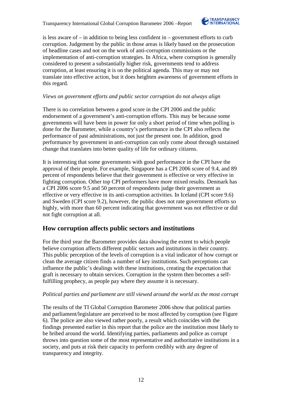Transparency International Global Corruption Barometer 2006 –Report



is less aware of – in addition to being less confident in – government efforts to curb corruption. Judgement by the public in those areas is likely based on the prosecution of headline cases and not on the work of anti-corruption commissions or the implementation of anti-corruption strategies. In Africa, where corruption is generally considered to present a substantially higher risk, governments tend to address corruption, at least ensuring it is on the political agenda. This may or may not translate into effective action, but it does heighten awareness of government efforts in this regard.

## *Views on government efforts and public sector corruption do not always align*

There is no correlation between a good score in the CPI 2006 and the public endorsement of a government's anti-corruption efforts. This may be because some governments will have been in power for only a short period of time when polling is done for the Barometer, while a country's performance in the CPI also reflects the performance of past administrations, not just the present one. In addition, good performance by government in anti-corruption can only come about through sustained change that translates into better quality of life for ordinary citizens.

It is interesting that some governments with good performance in the CPI have the approval of their people. For example, Singapore has a CPI 2006 score of 9.4, and 89 percent of respondents believe that their government is effective or very effective in fighting corruption. Other top CPI performers have more mixed results. Denmark has a CPI 2006 score 9.5 and 50 percent of respondents judge their government as effective or very effective in its anti-corruption activities. In Iceland (CPI score 9.6) and Sweden (CPI score 9.2), however, the public does not rate government efforts so highly, with more than 60 percent indicating that government was not effective or did not fight corruption at all.

## **How corruption affects public sectors and institutions**

For the third year the Barometer provides data showing the extent to which people believe corruption affects different public sectors and institutions in their country. This public perception of the levels of corruption is a vital indicator of how corrupt or clean the average citizen finds a number of key institutions. Such perceptions can influence the public's dealings with these institutions, creating the expectation that graft is necessary to obtain services. Corruption in the system then becomes a selffulfilling prophecy, as people pay where they assume it is necessary.

## *Political parties and parliament are still viewed around the world as the most corrupt*

The results of the TI Global Corruption Barometer 2006 show that political parties and parliament/legislature are perceived to be most affected by corruption (see Figure 6). The police are also viewed rather poorly, a result which coincides with the findings presented earlier in this report that the police are the institution most likely to be bribed around the world. Identifying parties, parliaments and police as corrupt throws into question some of the most representative and authoritative institutions in a society, and puts at risk their capacity to perform credibly with any degree of transparency and integrity.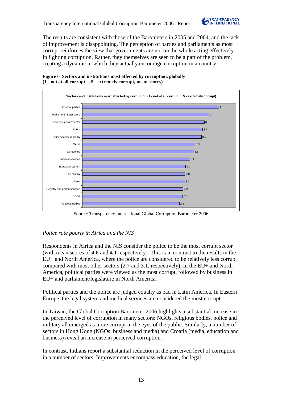

The results are consistent with those of the Barometers in 2005 and 2004, and the lack of improvement is disappointing. The perception of parties and parliaments as most corrupt reinforces the view that governments are not on the whole acting effectively in fighting corruption. Rather, they themselves are seen to be a part of the problem, creating a dynamic in which they actually encourage corruption in a country.

### **Figure 6 Sectors and institutions most affected by corruption, globally (1 - not at all corrupt ... 5 - extremely corrupt, mean scores)**



Source: Transparency International Global Corruption Barometer 2006

## *Police rate poorly in Africa and the NIS*

Respondents in Africa and the NIS consider the police to be the most corrupt sector (with mean scores of 4.6 and 4.1 respectively). This is in contrast to the results in the EU+ and North America, where the police are considered to be relatively less corrupt compared with most other sectors (2.7 and 3.1, respectively). In the EU+ and North America, political parties were viewed as the most corrupt, followed by business in EU+ and parliament/legislature in North America.

Political parties and the police are judged equally as bad in Latin America. In Eastern Europe, the legal system and medical services are considered the most corrupt.

In Taiwan, the Global Corruption Barometer 2006 highlights a substantial increase in the perceived level of corruption in many sectors: NGOs, religious bodies, police and military all emerged as more corrupt in the eyes of the public. Similarly, a number of sectors in Hong Kong (NGOs, business and media) and Croatia (media, education and business) reveal an increase in perceived corruption.

In contrast, Indians report a substantial reduction in the perceived level of corruption in a number of sectors. Improvements encompass education, the legal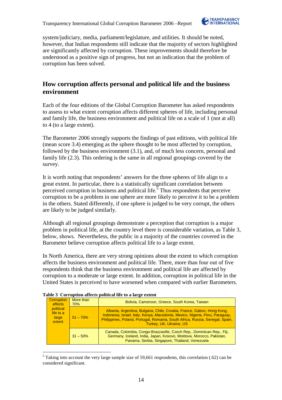

system/judiciary, media, parliament/legislature, and utilities. It should be noted, however, that Indian respondents still indicate that the majority of sectors highlighted are significantly affected by corruption. These improvements should therefore be understood as a positive sign of progress, but not an indication that the problem of corruption has been solved.

## **How corruption affects personal and political life and the business environment**

Each of the four editions of the Global Corruption Barometer has asked respondents to assess to what extent corruption affects different spheres of life, including personal and family life, the business environment and political life on a scale of 1 (not at all) to 4 (to a large extent).

The Barometer 2006 strongly supports the findings of past editions, with political life (mean score 3.4) emerging as the sphere thought to be most affected by corruption, followed by the business environment (3.1), and, of much less concern, personal and family life (2.3). This ordering is the same in all regional groupings covered by the survey.

It is worth noting that respondents' answers for the three spheres of life align to a great extent. In particular, there is a statistically significant correlation between perceived corruption in business and political life.<sup>5</sup> Thus respondents that perceive corruption to be a problem in one sphere are more likely to perceive it to be a problem in the others. Stated differently, if one sphere is judged to be very corrupt, the others are likely to be judged similarly.

Although all regional groupings demonstrate a perception that corruption is a major problem in political life, at the country level there is considerable variation, as Table 3, below, shows. Nevertheless, the public in a majority of the countries covered in the Barometer believe corruption affects political life to a large extent.

In North America, there are very strong opinions about the extent to which corruption affects the business environment and political life. There, more than four out of five respondents think that the business environment and political life are affected by corruption to a moderate or large extent. In addition, corruption in political life in the United States is perceived to have worsened when compared with earlier Barometers.

|  | Corruption<br>affects                     | More than<br>70% | Bolivia, Cameroon, Greece, South Korea, Taiwan                                                                                                                                                                                                                      |
|--|-------------------------------------------|------------------|---------------------------------------------------------------------------------------------------------------------------------------------------------------------------------------------------------------------------------------------------------------------|
|  | political<br>life to a<br>large<br>extent | $51 - 70%$       | Albania, Argentina, Bulgaria, Chile, Croatia, France, Gabon, Hong Kong,<br>Indonesia, Israel, Italy, Kenya, Macedonia, Mexico, Nigeria, Peru, Paraguay,<br>Philippines, Poland, Portugal, Romania, South Africa, Russia, Senegal, Spain,<br>Turkey, UK, Ukraine, US |
|  |                                           | $31 - 50\%$      | Canada, Colombia, Congo-Brazzaville, Czech Rep., Dominican Rep., Fiji,<br>Germany, Iceland, India, Japan, Kosovo, Moldova, Morocco, Pakistan,<br>Panama, Serbia, Singapore, Thailand, Venezuela                                                                     |

### **Table 3 Corruption affects political life to a large extent**

 $\overline{a}$ <sup>5</sup> Taking into account the very large sample size of 59,661 respondents, this correlation (.62) can be considered significant.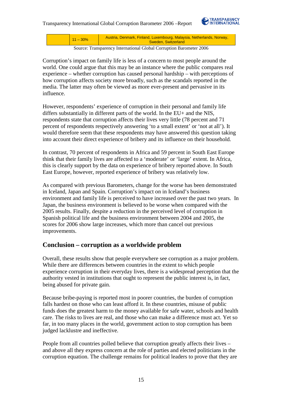

11 – 30% Austria, Denmark, Finland, Luxembourg, Malaysia, Netherlands, Norway, Sweden, Switzerland

Source: Transparency International Global Corruption Barometer 2006

Corruption's impact on family life is less of a concern to most people around the world. One could argue that this may be an instance where the public compares real experience – whether corruption has caused personal hardship – with perceptions of how corruption affects society more broadly, such as the scandals reported in the media. The latter may often be viewed as more ever-present and pervasive in its influence.

However, respondents' experience of corruption in their personal and family life differs substantially in different parts of the world. In the EU+ and the NIS, respondents state that corruption affects their lives very little (78 percent and 71 percent of respondents respectively answering 'to a small extent' or 'not at all'). It would therefore seem that these respondents may have answered this question taking into account their direct experience of bribery and its influence on their household.

In contrast, 70 percent of respondents in Africa and 59 percent in South East Europe think that their family lives are affected to a 'moderate' or 'large' extent. In Africa, this is clearly support by the data on experience of bribery reported above. In South East Europe, however, reported experience of bribery was relatively low.

As compared with previous Barometers, change for the worse has been demonstrated in Iceland, Japan and Spain. Corruption's impact on in Iceland's business environment and family life is perceived to have increased over the past two years. In Japan, the business environment is believed to be worse when compared with the 2005 results. Finally, despite a reduction in the perceived level of corruption in Spanish political life and the business environment between 2004 and 2005, the scores for 2006 show large increases, which more than cancel out previous improvements.

## **Conclusion – corruption as a worldwide problem**

Overall, these results show that people everywhere see corruption as a major problem. While there are differences between countries in the extent to which people experience corruption in their everyday lives, there is a widespread perception that the authority vested in institutions that ought to represent the public interest is, in fact, being abused for private gain.

Because bribe-paying is reported most in poorer countries, the burden of corruption falls hardest on those who can least afford it. In these countries, misuse of public funds does the greatest harm to the money available for safe water, schools and health care. The risks to lives are real, and those who can make a difference must act. Yet so far, in too many places in the world, government action to stop corruption has been judged lacklustre and ineffective.

People from all countries polled believe that corruption greatly affects their lives – and above all they express concern at the role of parties and elected politicians in the corruption equation. The challenge remains for political leaders to prove that they are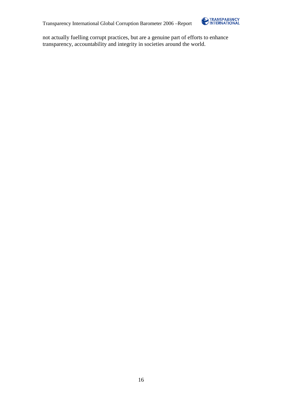

not actually fuelling corrupt practices, but are a genuine part of efforts to enhance transparency, accountability and integrity in societies around the world.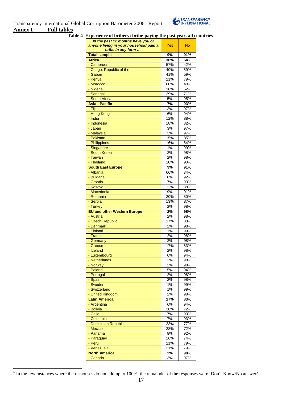| In the past 12 months have you or<br>anyone living in your household paid a<br>bribe in any form | Yes   | <b>No</b> |
|--------------------------------------------------------------------------------------------------|-------|-----------|
| <b>Total sample</b>                                                                              | 9%    | 91%       |
| <b>Africa</b>                                                                                    | 36%   | 64%       |
| - Cameroon                                                                                       | 57%   | 42%       |
| - Congo, Republic of the                                                                         | 40%   | 59%       |
| - Gabon                                                                                          | 41%   | 59%       |
| - Kenya                                                                                          | 21%   | 79%       |
| - Morocco                                                                                        | 60%   | 40%       |
| - Nigeria                                                                                        | 38%   | 62%       |
| - Senegal                                                                                        | 29%   | 71%       |
| - South Africa                                                                                   | 5%    | 95%       |
| <b>Asia - Pacific</b>                                                                            | 7%    | 93%       |
|                                                                                                  |       |           |
| - Fiji                                                                                           | 3%    | 97%       |
| - Hong Kong                                                                                      | 6%    | 94%       |
| - India                                                                                          | 12%   | 88%       |
| - Indonesia                                                                                      | 18%   | 82%       |
| - Japan                                                                                          | 3%    | 97%       |
| - Malaysia                                                                                       | 3%    | 97%       |
| - Pakistan                                                                                       | 15%   | 85%       |
| - Philippines                                                                                    | 16%   | 84%       |
| - Singapore                                                                                      | 1%    | 99%       |
| - South Korea                                                                                    | 2%    | 98%       |
| - Taiwan                                                                                         | 2%    | 98%       |
| - Thailand                                                                                       | 10%   | 90%       |
| <b>South East Europe</b>                                                                         | 9%    | 91%       |
| - Albania                                                                                        | 66%   | 34%       |
| - Bulgaria                                                                                       | 8%    | 92%       |
| - Croatia                                                                                        | 7%    | 93%       |
| - Kosovo                                                                                         | 12%   | 88%       |
| - Macedonia                                                                                      | 9%    | 91%       |
| - Romania                                                                                        | 20%   | 80%       |
|                                                                                                  |       |           |
| - Serbia                                                                                         | 13%   | 87%       |
| - Turkey                                                                                         | 2%    | 98%       |
| <b>EU and other Western Europe</b>                                                               | 2%    | 98%       |
| - Austria                                                                                        | 2%    | 98%       |
| - Czech Republic                                                                                 | 17%   | 83%       |
| - Denmark                                                                                        | 2%    | 98%       |
| - Finland                                                                                        | 1%    | 99%       |
| - France                                                                                         | 2%    | 98%       |
| - Germany                                                                                        | $2\%$ | 98%       |
| - Greece                                                                                         | 17%   | 83%       |
| - Iceland                                                                                        | 2%    | 98%       |
| - Luxembourg                                                                                     | 6%    | 94%       |
| - Netherlands                                                                                    | 2%    | 98%       |
| - Norway                                                                                         | 2%    | 98%       |
| - Poland                                                                                         | 5%    | 94%       |
| - Portugal                                                                                       | 2%    | 98%       |
| - Spain                                                                                          | 2%    | 98%       |
| - Sweden                                                                                         | 1%    | 99%       |
| - Switzerland                                                                                    | 1%    | 99%       |
| - United Kingdom                                                                                 | 2%    | 98%       |
| <b>Latin America</b>                                                                             | 17%   | 83%       |
|                                                                                                  |       |           |
| - Argentina                                                                                      | 6%    | 94%       |
| - Bolivia                                                                                        | 28%   | 72%       |
| - Chile                                                                                          | 7%    | 93%       |
| - Colombia                                                                                       | 7%    | 93%       |
| - Dominican Republic                                                                             | 23%   | 77%       |
| - Mexico                                                                                         | 28%   | 72%       |
| - Panama                                                                                         | 8%    | 92%       |
| - Paraguay                                                                                       | 26%   | 74%       |
| - Peru                                                                                           | 21%   | 79%       |
| - Venezuela                                                                                      | 21%   | 79%       |
| <b>North America</b>                                                                             | 2%    | 98%       |
| - Canada                                                                                         | 3%    | 97%       |
|                                                                                                  |       |           |

Table 4 Experience of bribery: bribe-paying the past year, all countries<sup>6</sup>

<sup>&</sup>lt;sup>6</sup> In the few instances where the responses do not add up to 100%, the remainder of the responses were 'Don't Know/No answer'.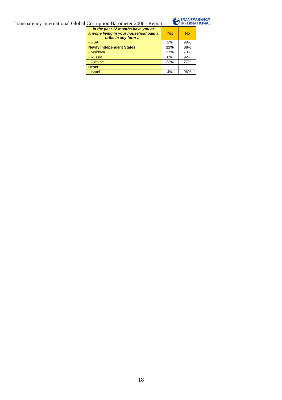

| In the past 12 months have you or<br>anyone living in your household paid a<br>bribe in any form | Yes | <b>No</b> |
|--------------------------------------------------------------------------------------------------|-----|-----------|
| - USA                                                                                            | 2%  | 98%       |
| <b>Newly Independent States</b>                                                                  | 12% | 88%       |
| - Moldova                                                                                        | 27% | 73%       |
| - Russia                                                                                         | 8%  | 92%       |
| - Ukraine                                                                                        | 23% | 77%       |
| <b>Other</b>                                                                                     |     |           |
| - Israel                                                                                         | 4%  | 96%       |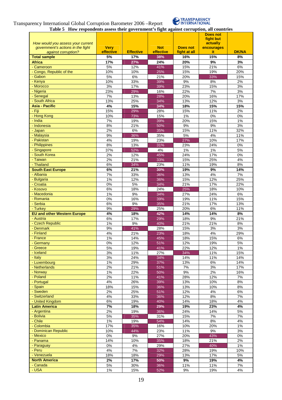

**Table 5 How respondents assess their government's fight against corruption, all countries**

| How would you assess your current<br>government's actions in the fight | <b>Very</b> |                  | <b>Not</b> | <b>Does not</b> | <b>Does not</b><br>fight but<br>actually<br>encourages |              |
|------------------------------------------------------------------------|-------------|------------------|------------|-----------------|--------------------------------------------------------|--------------|
| against corruption?                                                    | effective   | <b>Effective</b> | effective  | fight at all    | it.                                                    | <b>DK/NA</b> |
| <b>Total sample</b><br><b>Africa</b>                                   | 5%<br>17%   | 17%<br>27%       | 38%<br>24% | 16%<br>20%      | 15%<br>9%                                              | 8%<br>3%     |
| - Cameroon                                                             | 5%          | 12%              | 41%        | 15%             | 21%                                                    | 6%           |
| - Congo, Republic of the                                               | 10%         | 10%              | 25%        | 15%             | 19%                                                    | 20%          |
| - Gabon                                                                | 5%          | $6\%$            | 21%        | 20%             | 33%                                                    | 15%          |
| - Kenya                                                                | 10%         | 33%              | 39%        | 9%              | 8%                                                     | 2%           |
| - Morocco                                                              | 3%          | 17%              | 39%        | 23%             | 15%                                                    | 3%           |
| - Nigeria                                                              | 23%         | 29%              | 16%        | 22%             | 7%                                                     | 3%           |
| - Senegal                                                              | 7%          | 13%              | 28%        | 20%             | 16%                                                    | 17%          |
| - South Africa                                                         | 13%         | 25%              | 34%        | 13%             | 12%                                                    | 3%           |
| <b>Asia - Pacific</b>                                                  | 4%          | 15%              | 34%        | 18%             | 15%                                                    | 15%          |
| - Fiji                                                                 | 15%         | 29%              | 28%        | 15%             | 11%                                                    | 2%           |
| - Hong Kong<br>- India                                                 | 10%<br>7%   | 73%<br>19%       | 15%<br>39% | 1%<br>20%       | 0%<br>15%                                              | 0%<br>1%     |
| - Indonesia                                                            | 8%          | 21%              | 50%        | 9%              | $9\%$                                                  | 3%           |
| - Japan                                                                | 2%          | 6%               | 35%        | 15%             | 11%                                                    | 32%          |
| - Malaysia                                                             | 9%          | 36%              | 35%        | 5%              | 4%                                                     | 11%          |
| - Pakistan                                                             | 4%          | 19%              | 23%        | 27%             | 10%                                                    | 17%          |
| - Philippines                                                          | 8%          | 13%              | 31%        | 23%             | 24%                                                    | $0\%$        |
| - Singapore                                                            | 37%         | 52%              | 4%         | 1%              | 1%                                                     | 5%           |
| - South Korea                                                          | 2%          | 12%              | 45%        | 24%             | 17%                                                    | 0%           |
| - Taiwan                                                               | 2%          | 21%              | 33%        | 15%             | 25%                                                    | 4%           |
| - Thailand                                                             | 6%          | 34%              | 23%        | 11%             | 19%                                                    | 8%           |
| <b>South East Europe</b>                                               | 6%          | 21%              | 30%        | 19%             | 9%                                                     | 14%          |
| - Albania                                                              | 7%          | 33%              | 36%        | 13%             | 4%                                                     | 7%           |
| - Bulgaria<br>- Croatia                                                | 1%<br>0%    | 12%<br>5%        | 36%<br>34% | 15%<br>21%      | 12%<br>17%                                             | 25%<br>22%   |
| - Kosovo                                                               | 6%          | 18%              | 24%        | 25%             | 18%                                                    | 10%          |
| - Macedonia                                                            | 1%          | $9\%$            | 34%        | 27%             | 24%                                                    | 6%           |
| - Romania                                                              | 0%          | 16%              | 39%        | 19%             | 11%                                                    | 15%          |
| - Serbia                                                               | 6%          | 9%               | 35%        | 21%             | 17%                                                    | 13%          |
| - Turkey                                                               | 9%          | 29%              | 25%        | 20%             | 6%                                                     | 11%          |
| <b>EU and other Western Europe</b>                                     | 4%          | 18%              | 42%        | 14%             | 14%                                                    | 8%           |
| - Austria                                                              | 6%          | 17%              | 29%        | 18%             | 9%                                                     | 21%          |
| - Czech Republic                                                       | 1%          | 9%               | 40%        | 21%             | 21%                                                    | 8%           |
| - Denmark                                                              | 9%          | 41%              | 28%        | 15%             | 3%                                                     | 3%           |
| - Finland<br>- France                                                  | 4%<br>1%    | 21%<br>14%       | 23%        | 18%<br>18%      | 4%<br>15%                                              | 29%<br>6%    |
| - Germany                                                              | 0%          | 12%              | 45%<br>51% | 12%             | 19%                                                    | 5%           |
| - Greece                                                               | 5%          | 19%              | 41%        | 22%             | 12%                                                    | 1%           |
| - Iceland                                                              | 3%          | 11%              | 27%        | 34%             | 11%                                                    | 15%          |
| - Italy                                                                | 3%          | 24%              | 34%        | 14%             | 11%                                                    | 14%          |
| - Luxembourg                                                           | $1\%$       | 29%              | 37%        | 13%             | 6%                                                     | 14%          |
| - Netherlands                                                          | 2%          | 21%              | 51%        | 7%              | $3%$                                                   | 17%          |
| - Norway                                                               | 1%          | 22%              | 50%        | 9%              | 2%                                                     | 16%          |
| - Poland                                                               | 2%          | 11%              | 41%        | 28%             | 12%                                                    | 7%           |
| - Portugal                                                             | 4%          | 26%              | 39%        | 13%             | 10%                                                    | 8%           |
| - Spain<br>- Sweden                                                    | 18%         | 15%<br>25%       | 36%        | 13%             | 10%<br>4%                                              | $8\%$        |
| - Switzerland                                                          | 2%<br>4%    | 33%              | 51%<br>36% | 12%<br>12%      | 8%                                                     | 6%<br>7%     |
| - United Kingdom                                                       | 6%          | 19%              | 40%        | 14%             | 18%                                                    | 4%           |
| <b>Latin America</b>                                                   | 7%          | 18%              | 29%        | 19%             | 23%                                                    | 4%           |
| - Argentina                                                            | 2%          | 19%              | 36%        | 24%             | 14%                                                    | 5%           |
| - Bolivia                                                              | $5\%$       | 35%              | 31%        | 15%             | $7\%$                                                  | 7%           |
| - Chile                                                                | $1\%$       | 19%              | 54%        | 14%             | 8%                                                     | 4%           |
| - Colombia                                                             | 17%         | 35%              | 16%        | 10%             | 20%                                                    | 1%           |
| - Dominican Republic                                                   | 10%         | 44%              | 23%        | 11%             | 9%                                                     | 3%           |
| - Mexico                                                               | $0\%$       | 9%               | 27%        | 20%             | 43%                                                    | $0\%$        |
| - Panama                                                               | 14%         | 10%              | 35%        | 18%             | 21%                                                    | 2%           |
| - Paraguay<br>- Peru                                                   | $0\%$<br>4% | 4%<br>7%         | 29%<br>32% | 27%<br>28%      | 40%<br>19%                                             | $1\%$<br>10% |
| - Venezuela                                                            | 18%         | 18%              | 29%        | 13%             | 17%                                                    | 5%           |
| <b>North America</b>                                                   | 2%          | 17%              | 50%        | $9\%$           | 19%                                                    | 4%           |
| - Canada                                                               | 5%          | 30%              | 36%        | 11%             | 11%                                                    | 7%           |
| - USA                                                                  | $1\%$       | 15%              | 52%        | 9%              | 19%                                                    | 4%           |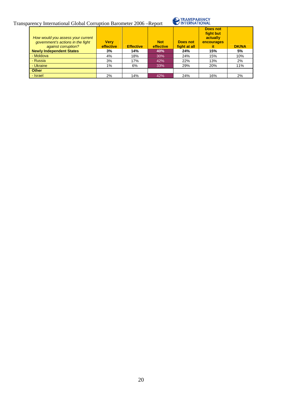

| How would you assess your current<br>government's actions in the fight<br>against corruption? | <b>Verv</b><br>effective | <b>Effective</b> | <b>Not</b><br>effective | Does not<br>fight at all | Does not<br>fight but<br>actually<br>encourages<br>it | <b>DK/NA</b> |
|-----------------------------------------------------------------------------------------------|--------------------------|------------------|-------------------------|--------------------------|-------------------------------------------------------|--------------|
| <b>Newly Independent States</b>                                                               | 3%                       | 14%              | 40%                     | 24%                      | 15%                                                   | 5%           |
| - Moldova                                                                                     | 4%                       | 18%              | 30%                     | 24%                      | 15%                                                   | 10%          |
| - Russia                                                                                      | 3%                       | 17%              | 42%                     | 22%                      | 13%                                                   | 2%           |
| - Ukraine                                                                                     | 1%                       | 6%               | 33%                     | 29%                      | 20%                                                   | 11%          |
| <b>Other</b>                                                                                  |                          |                  |                         |                          |                                                       |              |
| - Israel                                                                                      | 2%                       | 14%              | 42%                     | 24%                      | 16%                                                   | 2%           |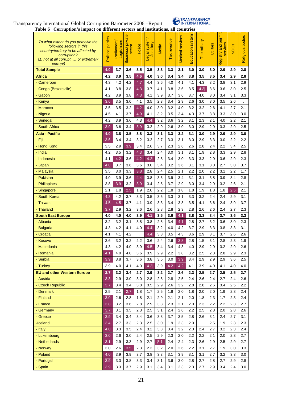



**Table 6 Corruption's impact on different sectors and institutions, all countries**

| To what extent do you perceive the<br>following sectors in this<br>country/territory to be affected by<br>corruption?<br>(1: not at all corrupt,  5: extremely<br>corrupt) | Political parties | Parliament<br>Legislature | $\bullet$<br>Business/ privat<br>sector | Police | Legal system/<br>Judiciary | Media | Tax revenue | services<br>Medical | Education system | The military | <b>Utilities</b> | and permit<br>services<br>Registry | <b>NGO<sub>s</sub></b> | Religious bodies |
|----------------------------------------------------------------------------------------------------------------------------------------------------------------------------|-------------------|---------------------------|-----------------------------------------|--------|----------------------------|-------|-------------|---------------------|------------------|--------------|------------------|------------------------------------|------------------------|------------------|
| <b>Total Sample</b>                                                                                                                                                        | 4.0               | 3.7                       | 3.6                                     | 3.5    | 3.5                        | 3.3   | 3.3         | 3.1                 | 3.0              | 3.0          | 3.0              | 2.9                                | 2.9                    | 2.8              |
| <b>Africa</b>                                                                                                                                                              | 4.2               | 3.9                       | 3.5                                     | 4.6    | 4.0                        | 3.0   | 3.4         | 3.4                 | 3.8              | 3.5          | 3.5              | 3.4                                | 2.9                    | 2.8              |
| - Cameroon                                                                                                                                                                 | 4.3               | 4.2                       | 4.2                                     | 4.7    | 4.4                        | 3.6   | 4.0         | 4.1                 | 4.1              | 4.3          | 3.2              | 3.8                                | 3.1                    | 2.9              |
| - Congo (Brazzaville)                                                                                                                                                      | 4.1               | 3.8                       | 3.8                                     | 4.3    | 3.7                        | 4.1   | 3.8         | 3.6                 | 3.5              | 4.3          | 3.6              | 3.6                                | 3.0                    | 2.5              |
| - Gabon                                                                                                                                                                    | 4.2               | 3.9                       | 3.8                                     | 4.3    | 4.1                        | 3.9   | 3.7         | 3.6                 | 3.7              | 4.0          | 3.0              | 3.4                                | 3.1                    | 3.3              |
| - Kenya                                                                                                                                                                    | 3.6               | 3.5                       | 3.0                                     | 4.1    | 3.5                        | 2.3   | 3.4         | 2.9                 | 2.6              | 3.0          | 3.0              | 3.5                                | 2.6                    |                  |
| - Morocco                                                                                                                                                                  | 3.5               | 3.5                       | 3.2                                     | 4.2    | 4.0                        | 3.0   | 3.2         | 4.0                 | 3.2              | 3.2          | 2.6              | 4.1                                | 2.7                    | 2.1              |
| - Nigeria                                                                                                                                                                  | 4.5               | 4.1                       | 3.7                                     | 4.9    | 4.1                        | 3.2   | 3.5         | 3.4                 | 4.3              | 3.7          | 3.8              | 3.3                                | 3.0                    | 3.0              |
| - Senegal                                                                                                                                                                  | 4.2               | 3.9                       | 3.6                                     | 4.3    | 4.4                        | 3.2   | 3.6         | 3.2                 | 3.1              | 2.3          | 2.1              | 4.0                                | 2.2                    | 2.1              |
| - South Africa                                                                                                                                                             | 3.9               | 3.6                       | 3.4                                     | 3.9    | 3.2                        | 2.9   | 2.6         | 3.0                 | 3.0              | 2.9          | 2.9              | 3.3                                | 2.9                    | 2.5              |
| <b>Asia - Pacific</b>                                                                                                                                                      | 4.0               | 3.8                       | 3.5                                     | 3.8    | 3.3                        | 3.1   | 3.3         | 3.2                 | 3.1              | 3.0          | 2.9              | 2.9                                | 2.9                    | 3.0              |
| - Fiji                                                                                                                                                                     | 3.6               | 3.4                       | 3.4                                     | 3.2    | 3.2                        | 2.7   | 3.3         | 3.1                 | 3.0              | 2.9          | 3.3              | 3.0                                | 2.2                    | 2.2              |
| - Hong Kong                                                                                                                                                                | 3.5               | 2.9                       | 3.9                                     | 3.4    | 2.6                        | 3.7   | 2.3         | 2.6                 | 2.6              | 2.8          | 2.4              | 2.2                                | 3.4                    | 2.5              |
| - India                                                                                                                                                                    | 4.2               | 3.5                       | 3.2                                     | 4.3    | 3.4                        | 2.4   | 3.0         | 3.1                 | 3.1              | 1.9          | 2.8              | 3.3                                | 2.9                    | 2.8              |
| - Indonesia                                                                                                                                                                | 4.1               | 4.2                       | 3.6                                     | 4.2    | 4.2                        | 2.8   | 3.4         | 3.0                 | 3.3              | 3.3          | 2.9              | 3.6                                | 2.9                    | 2.3              |
| - Japan                                                                                                                                                                    | 4.0               | 3.7                       | 3.6                                     | 3.6    | 3.0                        | 3.4   | 3.2         | 3.6                 | 3.1              | 3.1          | 3.0              | 2.7                                | 3.0                    | 3.7              |
| - Malaysia                                                                                                                                                                 | 3.5               | 3.0                       | 3.3                                     | 3.8    | 2.8                        | 2.4   | 2.5         | 2.1                 | 2.2              | 2.0          | 2.2              | 3.1                                | 2.2                    | 1.7              |
| - Pakistan                                                                                                                                                                 | 4.0               | 3.9                       | 3.6                                     | 4.4    | 3.8                        | 3.6   | 3.9         | 3.4                 | 3.1              | 3.1          | 3.8              | 3.9                                | 3.4                    | 2.8              |
| - Philippines                                                                                                                                                              | 3.8               | 3.9                       | 3.2                                     | 3.9    | 3.4                        | 2.5   | 3.7         | 2.9                 | 3.0              | 3.4          | 2.9              | 3.2                                | 2.6                    | 2.1              |
| - Singapore                                                                                                                                                                | 2.1               | 1.8                       | 2.5                                     | 1.9    | 2.0                        | 2.2   | 1.8         | 1.8                 | 1.8              | 1.9          | 1.8              | 1.8                                | 2.5                    | 2.1              |
| - South Korea                                                                                                                                                              | 4.3               | 4.2                       | 3.7                                     | 3.3    | 3.5                        | 3.5   | 3.3         | 3.1                 | 3.3              | 3.2          | 2.4              | 2.4                                | 2.9                    | 3.1              |
| - Taiwan                                                                                                                                                                   | 4.5               | 4.5                       | 3.7                                     | 4.1    | 3.9                        | 3.3   | 3.4         | 3.8                 | 3.5              | 4.1          | 3.6              | 2.4                                | 3.9                    | 3.7              |
| - Thailand                                                                                                                                                                 | 3.7               | 2.9                       | 3.2                                     | 3.6    | 2.6                        | 2.8   | 2.8         | 2.3                 | 2.8              | 2.6          | 2.6              | 2.4                                | 2.7                    | 2.3              |
| <b>South East Europe</b>                                                                                                                                                   | 4.0               | 4.0                       | 4.0                                     | 3.9    | 4.1                        | 3.5   | 3.6         | 4.1                 | 3.8              | 3.3          | 3.4              | 3.7                                | 3.6                    | 3.3              |
| - Albania                                                                                                                                                                  | 3.2               | 3.2                       | 3.1                                     | 3.8    | 3.8                        | 2.5   | 3.4         | 4.1                 | 2.8              | 2.7          | 3.2              | 3.6                                | 3.0                    | 2.3              |
| - Bulgaria                                                                                                                                                                 | 4.3               | 4.2                       | 4.1                                     | 4.0    | 4.4                        | 3.2   | 4.0         | 4.2                 | 3.7              | 2.9          | 3.3              | 3.8                                | 3.3                    | 3.1              |
| - Croatia                                                                                                                                                                  | 4.1               | 4.1                       | 4.2                                     |        | 4.4                        | 3.3   | 3.5         | 4.3                 | 3.6              | 2.9          | 3.1              | 3.7                                | 2.6                    | 2.6              |
| - Kosovo                                                                                                                                                                   | 3.6               | 3.2                       | 3.2                                     | 2.2    | 3.6                        | 2.4   | 2.6         | 3.8                 | 2.8              | 1.5          | 3.1              | 2.8                                | 2.3                    | 1.9              |
| - Macedonia                                                                                                                                                                | 4.3               | 4.2                       | 4.0                                     | 3.9    | 4.5                        | 3.4   | 3.4         | 4.3                 | 4.0              | 2.9          | 2.9              | 3.2                                | 2.9                    | 2.6              |
| - Romania                                                                                                                                                                  | 4.1               | 4.0                       | 4.0                                     | 3.6    | 3.9                        | 2.9   | 2.2         | 3.8                 | 3.2              | 2.5          | 2.3              | 2.8                                | 2.9                    | 2.3              |
| - Serbia                                                                                                                                                                   | 3.9               | 3.8                       | 3.7                                     | 3.6    | 3.8                        | 3.5   | 3.0         | 3.9                 | 3.4              | 2.9          | 2.9              | 2.9                                | 3.6                    | 2.5              |
| - Turkey                                                                                                                                                                   | 3.9               | 4.0                       | 4.1                                     | 4.0    | 4.2                        | 3.9   | 4.2         | 4.2                 | 4.1              | 3.9          | 4.0              | 4.1                                | 4.0                    | 4.0              |
| <b>EU and other Western Europe</b>                                                                                                                                         | 3.7               | 3.2                       | 3.4                                     | 2.7    | 2.9                        | 3.2   | 2.7         | 2.6                 | 2.3              | 2.5          | 2.7              | 2.5                                | 2.5                    | 2.7              |
| - Austria                                                                                                                                                                  | 3.3               | 2.9                       | 3.0                                     | 3.0    | 2.8                        | 2.8   | 2.8         | 2.5                 | 2.4              | 2.6          | 2.4              | 2.7                                | 2.4                    | 2.6              |
| - Czech Republic                                                                                                                                                           | 3.7               | 3.4                       | 3.4                                     | 3.8    | 3.5                        | 2.9   | 2.6         | 3.2                 | 2.8              | 2.8          | 2.6              | 3.4                                | 2.5                    | 2.2              |
| - Denmark                                                                                                                                                                  | 2.5               | 2.1                       | 2.7                                     | 1.8    | 1.7                        | 2.5   | 1.6         | 2.0                 | 1.8              | 2.0          | 2.0              | 1.9                                | 2.3                    | 2.4              |
| - Finland                                                                                                                                                                  | 3.0               | 2.6                       | 2.8                                     | 1.8    | 2.1                        | 2.9   | 2.1         | 2.1                 | 2.0              | 1.8          | 2.3              | 1.7                                | 2.3                    | 2.4              |
| - France                                                                                                                                                                   | 3.8               | 3.2                       | 3.6                                     | 2.8    | 2.9                        | 3.3   | 2.3         | 2.1                 | 2.0              | 2.3          | 2.2              | 2.2                                | 2.3                    | 2.7              |
| - Germany                                                                                                                                                                  | 3.7               | 3.1                       | 3.5                                     | 2.3    | 2.5                        | 3.1   | 2.4         | 2.6                 | 2.2              | 2.5          | 2.8              | 2.0                                | 2.8                    | 2.6              |
| - Greece                                                                                                                                                                   | 3.9               | 3.4                       | 3.4                                     | 3.4    | 3.6                        | 3.8   | 3.7         | 3.5                 | 2.8              | 2.6          | 3.1              | 2.4                                | 2.7                    | 3.1              |
| -Iceland                                                                                                                                                                   | 3.4               | 2.7                       | 3.3                                     | 2.3    | 2.5                        | 3.0   | 1.9         | 2.3                 | 2.0              |              | 2.5              | 1.9                                | 2.3                    | 2.3              |
| - Italy                                                                                                                                                                    | 4.0               | 3.3                       | 3.5                                     | 2.4    | 3.2                        | 3.3   | 3.4         | 3.2                 | 2.3              | 2.4          | 2.7              | 3.2                                | 2.3                    | 2.4              |
| - Luxembourg                                                                                                                                                               | 3.0               | 2.6                       | 3.0                                     | 2.4    | 2.5                        | 2.9   | 2.3         | 2.0                 | 2.2              | 2.2          | 2.1              | 2.0                                | 2.3                    | 2.7              |
| - Netherlands                                                                                                                                                              | 3.1               | 2.9                       | 3.3                                     | 2.9    | 2.7                        | 3.1   | 2.4         | 2.4                 | 2.3              | 2.6          | 2.9              | 2.5                                | 2.9                    | 2.7              |
| - Norway                                                                                                                                                                   | 3.0               | 2.6                       | 3.5                                     | 2.3    | 2.3                        | 3.2   | 2.0         | 2.6                 | 2.2              | 3.1          | 2.7              | 1.9                                | 3.0                    | 3.3              |
| - Poland                                                                                                                                                                   | 4.0               | 3.9                       | 3.9                                     | 3.7    | 3.8                        | 3.3   | 3.1         | 3.9                 | 3.1              | 3.1          | 2.7              | 3.2                                | 3.3                    | 3.0              |
| - Portugal                                                                                                                                                                 | 3.9               | 3.3                       | 3.8                                     | 3.3    | 3.4                        | 3.1   | 3.6         | 3.0                 | 2.8              | 2.7          | 2.8              | 2.7                                | 2.9                    | 2.8              |
| - Spain                                                                                                                                                                    | 3.9               | 3.3                       | 3.7                                     | 2.9    | 3.1                        | 3.4   | 3.1         | 2.3                 | 2.3              | 2.7          | 2.9              | 3.4                                | 2.4                    | 3.0              |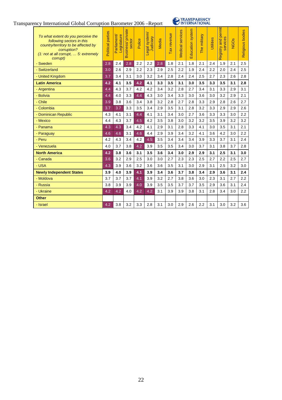

| To what extent do you perceive the<br>following sectors in this<br>country/territory to be affected by<br>corruption?<br>$(1:$ not at all corrupt, $\dots$ 5: extremely<br>corrupt) | parties<br>Political | Parliament/<br>Legislature | usiness/private<br>sector<br>മ | Police | Legal system/<br>Judiciary | Media | Tax revenue | Medical services | Education system | The military | Utilities | permit<br>$\omega$<br>and<br>service<br>Registry | <b>NGOS</b> | <b>Religious bodies</b> |
|-------------------------------------------------------------------------------------------------------------------------------------------------------------------------------------|----------------------|----------------------------|--------------------------------|--------|----------------------------|-------|-------------|------------------|------------------|--------------|-----------|--------------------------------------------------|-------------|-------------------------|
| - Sweden                                                                                                                                                                            | 2.8                  | 2.4                        | 2.8                            | 2.2    | 2.2                        | 2.8   | 1.8         | 2.1              | 1.8              | 2.1          | 2.4       | 1.9                                              | 2.1         | 2.5                     |
| - Switzerland                                                                                                                                                                       | 3.0                  | 2.6                        | 2.9                            | 2.2    | 2.3                        | 2.9   | 2.5         | 2.2              | 1.9              | 2.4          | 2.2       | 2.0                                              | 2.4         | 2.5                     |
| - United Kingdom                                                                                                                                                                    | 3.7                  | 3.4                        | 3.1                            | 3.0    | 3.2                        | 3.4   | 2.8         | 2.4              | 2.4              | 2.5          | 2.7       | 2.3                                              | 2.6         | 2.8                     |
| <b>Latin America</b>                                                                                                                                                                | 4.2                  | 4.1                        | 3.5                            | 4.2    | 4.1                        | 3.3   | 3.5         | 3.1              | 3.0              | 3.5          | 3.3       | 3.5                                              | 3.1         | 2.8                     |
| - Argentina                                                                                                                                                                         | 4.4                  | 4.3                        | 3.7                            | 4.2    | 4.2                        | 3.4   | 3.2         | 2.8              | 2.7              | 3.4          | 3.1       | 3.3                                              | 2.9         | 3.1                     |
| - Bolivia                                                                                                                                                                           | 4.4                  | 4.0                        | 3.3                            | 4.4    | 4.3                        | 3.0   | 3.4         | 3.3              | 3.0              | 3.6          | 3.0       | 3.2                                              | 2.9         | 2.1                     |
| - Chile                                                                                                                                                                             | 3.9                  | 3.8                        | 3.6                            | 3.4    | 3.8                        | 3.2   | 2.8         | 2.7              | 2.8              | 3.3          | 2.9       | 2.8                                              | 2.6         | 2.7                     |
| - Colombia                                                                                                                                                                          | 3.7                  | 3.7                        | 3.3                            | 3.5    | 3.4                        | 2.9   | 3.5         | 3.1              | 2.8              | 3.2          | 3.3       | 2.9                                              | 2.9         | 2.6                     |
| - Dominican Republic                                                                                                                                                                | 4.3                  | 4.1                        | 3.1                            | 4.4    | 4.1                        | 3.1   | 3.4         | 3.0              | 2.7              | 3.6          | 3.3       | 3.3                                              | 3.0         | 2.2                     |
| - Mexico                                                                                                                                                                            | 4.4                  | 4.3                        | 3.7                            | 4.5    | 4.2                        | 3.5   | 3.8         | 3.0              | 3.2              | 3.2          | 3.5       | 3.9                                              | 3.2         | 3.2                     |
| - Panama                                                                                                                                                                            | 4.3                  | 4.3                        | 3.4                            | 4.2    | 4.1                        | 2.9   | 3.1         | 2.8              | 3.3              | 4.1          | 3.0       | 3.5                                              | 3.1         | 2.1                     |
| - Paraguay                                                                                                                                                                          | 4.6                  | 4.6                        | 3.1                            | 4.6    | 4.4                        | 2.9   | 3.9         | 3.4              | 3.2              | 4.1          | 3.6       | 4.2                                              | 3.0         | 2.2                     |
| - Peru                                                                                                                                                                              | 4.2                  | 4.3                        | 3.4                            | 4.2    | 4.5                        | 3.5   | 3.4         | 3.4              | 3.4              | 3.9          | 3.3       | 3.7                                              | 3.1         | 2.4                     |
| - Venezuela                                                                                                                                                                         | 4.0                  | 3.7                        | 3.8                            | 4.2    | 3.9                        | 3.5   | 3.5         | 3.4              | 3.0              | 3.7          | 3.1       | 3.8                                              | 3.7         | 2.8                     |
| <b>North America</b>                                                                                                                                                                | 4.2                  | 3.8                        | 3.6                            | 3.1    | 3.5                        | 3.6   | 3.4         | 3.0              | 2.9              | 2.9          | 3.1       | 2.5                                              | 3.1         | 3.0                     |
| - Canada                                                                                                                                                                            | 3.6                  | 3.2                        | 2.9                            | 2.5    | 3.0                        | 3.0   | 2.7         | 2.3              | 2.3              | 2.5          | 2.7       | 2.2                                              | 2.5         | 2.7                     |
| - USA                                                                                                                                                                               | 4.3                  | 3.9                        | 3.6                            | 3.2    | 3.6                        | 3.6   | 3.5         | 3.1              | 3.0              | 2.9          | 3.1       | 2.5                                              | 3.2         | 3.0                     |
| <b>Newly Independent States</b>                                                                                                                                                     | 3.9                  | 4.0                        | 3.9                            | 4.1    | 3.9                        | 3.4   | 3.6         | 3.7              | 3.8              | 3.4          | 2.9       | 3.6                                              | 3.1         | 2.4                     |
| - Moldova                                                                                                                                                                           | 3.7                  | 3.7                        | 3.7                            | 4.1    | 3.9                        | 3.2   | 2.7         | 3.8              | 3.6              | 3.0          | 2.3       | 3.1                                              | 2.7         | 2.2                     |
| - Russia                                                                                                                                                                            | 3.8                  | 3.9                        | 3.9                            | 4.0    | 3.9                        | 3.5   | 3.5         | 3.7              | 3.7              | 3.5          | 2.9       | 3.6                                              | 3.1         | 2.4                     |
| - Ukraine                                                                                                                                                                           | 4.2                  | 4.2                        | 4.0                            | 4.2    | 4.2                        | 3.1   | 3.9         | 3.9              | 3.8              | 3.1          | 2.8       | 3.4                                              | 3.0         | 2.2                     |
| <b>Other</b>                                                                                                                                                                        |                      |                            |                                |        |                            |       |             |                  |                  |              |           |                                                  |             |                         |
| - Israel                                                                                                                                                                            | 4.2                  | 3.8                        | 3.2                            | 3.3    | 2.8                        | 3.1   | 3.0         | 2.9              | 2.6              | 2.2          | 3.1       | 3.0                                              | 3.2         | 3.6                     |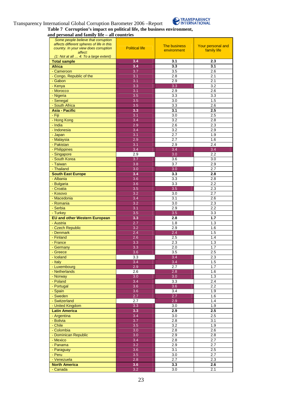#### Transparency International Global Corruption Barometer 2006 –Report



## **Table 7 Corruption's impact on political life, the business environment,**

**and personal and family life – all countries**

| Some people believe that corruption<br>affects different spheres of life in this |                       | <b>The business</b> | Your personal and       |
|----------------------------------------------------------------------------------|-----------------------|---------------------|-------------------------|
| country. In your view does corruption<br>affect:                                 | <b>Political life</b> | environment         | family life             |
| (1: Not at all  4: To a large extent)                                            |                       |                     |                         |
| <b>Total sample</b>                                                              | 3.4                   | 3.1                 | 2.3                     |
| <b>Africa</b>                                                                    | 3.4                   | 3.3                 | 3.1                     |
| - Cameroon<br>- Congo, Republic of the                                           | 3.7<br>3.1            | 3.5                 | 2.6                     |
| - Gabon                                                                          | 3.1                   | 2.8<br>2.9          | 2.1<br>2.1              |
| - Kenya                                                                          | 3.3                   | 3.3                 | 3.2                     |
| - Morocco                                                                        | 3.1                   | 2.9                 | 2.6                     |
| - Nigeria                                                                        | 3.5                   | $\overline{3.3}$    | $\overline{3.3}$        |
| - Senegal                                                                        | 3.5                   | 3.0                 | 1.5                     |
| - South Africa                                                                   | 3.5                   | 3.3                 | 2.6                     |
| <b>Asia - Pacific</b>                                                            | 3.3                   | 3.1                 | 2.5                     |
| - Fiji<br>- Hong Kong                                                            | 3.1<br>3.4            | 3.0<br>3.2          | 2.5<br>2.8              |
| - India                                                                          | 2.9                   | 2.6                 | 2.3                     |
| - Indonesia                                                                      | 3.4                   | 3.2                 | 2.9                     |
| - Japan                                                                          | 3.1                   | 2.7                 | 1.9                     |
| - Malaysia                                                                       | 2.9                   | 2.7                 | 1.6                     |
| - Pakistan                                                                       | 3.1                   | 2.9                 | 2.4                     |
| - Philippines                                                                    | 3.4                   | 3.4                 | 3.4                     |
| - Singapore                                                                      | 2.9                   | 3.0                 | 2.2                     |
| - South Korea<br>- Taiwan                                                        | 3.7<br>3.8            | 3.6<br>3.7          | 3.0<br>2.9              |
| - Thailand                                                                       | 3.0                   | 3.0                 | 2.7                     |
| <b>South East Europe</b>                                                         | 3.4                   | 3.3                 | 2.8                     |
| - Albania                                                                        | 3.6                   | 3.3                 | 2.8                     |
| - Bulgaria                                                                       | 3.6                   | 3.3                 | 2.2                     |
| - Croatia                                                                        | 3.5                   | 3.5                 | 2.3                     |
| - Kosovo                                                                         | 3.2                   | 3.0                 | 2.7                     |
| - Macedonia                                                                      | 3.4                   | 3.1                 | 2.6                     |
| - Romania                                                                        | 3.2                   | 3.0                 | 2.3                     |
| - Serbia                                                                         | 3.1                   | 2.9                 | 2.2                     |
| - Turkey<br><b>EU and other Western European</b>                                 | 3.5<br>3.3            | 3.5<br>2.8          | 3.3<br>1.7              |
| - Austria                                                                        | 2.7                   | 1.8                 | 1.3                     |
| - Czech Republic                                                                 | 3.2                   | 2.9                 | 1.6                     |
| - Denmark                                                                        | 2.4                   | 2.4                 | 1.5                     |
| - Finland                                                                        | 2.6                   | 2.5                 | 1.4                     |
| - France                                                                         | 3.3                   | 2.3                 | 1.3                     |
| - Germany                                                                        | 3.3                   | 2.0                 | 1.7                     |
| - Greece                                                                         | 3.6                   | 3.5                 | 2.5                     |
| - Iceland<br>- Italy                                                             | 3.3<br>3.4            | 3.4<br>3.4          | $2.\overline{3}$<br>1.5 |
| - Luxembourg                                                                     | 2.9                   | 2.7                 | 1.7                     |
| - Netherlands                                                                    | 2.6                   | $\overline{2.8}$    | 1.6                     |
| - Norway                                                                         | 3.0                   | 3.0                 | 1.3                     |
| - Poland                                                                         | 3.4                   | 3.3                 | 2.4                     |
| - Portugal                                                                       | 3.6                   | 3.6                 | 2.2                     |
| - Spain                                                                          | 3.6                   | 3.4                 | 1.9                     |
| - Sweden                                                                         | 2.7                   | 2.7                 | 1.6                     |
| - Switzerland<br>- United Kingdom                                                | 2.7<br>3.3            | 2.9<br>3.0          | 1.4<br>1.9              |
| <b>Latin America</b>                                                             | 3.3                   | 2.9                 | 2.5                     |
| - Argentina                                                                      | 3.4                   | 3.0                 | 2.5                     |
| - Bolivia                                                                        | 3.7                   | 2.8                 | 3.1                     |
| - Chile                                                                          | 3.5                   | 3.2                 | 1.9                     |
| - Colombia                                                                       | 3.0                   | 2.8                 | 2.6                     |
| - Dominican Republic                                                             | 3.0                   | 2.9                 | 2.8                     |
| - Mexico                                                                         | 3.4                   | 2.8                 | 2.7                     |
| - Panama                                                                         | 3.2                   | 2.9                 | 2.7                     |
| - Paraguay<br>- Peru                                                             | 3.6<br>3.5            | 3.1<br>3.0          | 2.5<br>2.7              |
| - Venezuela                                                                      | 2.8                   | 2.7                 | 2.3                     |
| <b>North America</b>                                                             | 3.6                   | 3.3                 | 2.6                     |
| - Canada                                                                         | 3.2                   | 3.0                 | 2.1                     |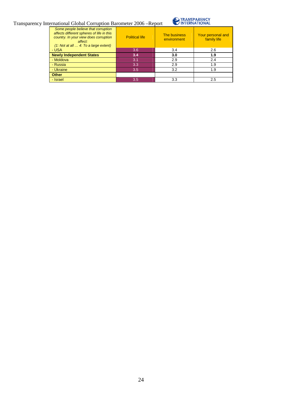

| Some people believe that corruption<br>affects different spheres of life in this<br>country. In your view does corruption<br>affect:<br>$(1: Not at all  4: To a large extent)$ | <b>Political life</b> | The business<br>environment | Your personal and<br>family life |  |  |
|---------------------------------------------------------------------------------------------------------------------------------------------------------------------------------|-----------------------|-----------------------------|----------------------------------|--|--|
| - USA                                                                                                                                                                           | 3.6                   | 3.4                         | 2.6                              |  |  |
| <b>Newly Independent States</b>                                                                                                                                                 | 3.4                   | 3.0                         | 1.9                              |  |  |
| - Moldova                                                                                                                                                                       | 3.1                   | 2.9                         | 2.4                              |  |  |
| - Russia                                                                                                                                                                        | 3.3                   | 2.9                         | 1.9                              |  |  |
| - Ukraine                                                                                                                                                                       | 3.5                   | 3.2                         | 1.9                              |  |  |
| <b>Other</b>                                                                                                                                                                    |                       |                             |                                  |  |  |
| - Israel                                                                                                                                                                        | 3.5                   | 3.3                         | 2.5                              |  |  |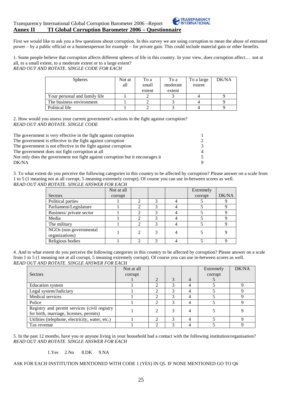First we would like to ask you a few questions about corruption. In this survey we are using corruption to mean the abuse of entrusted power – by a public official or a businessperson for example – for private gain. This could include material gain or other benefits.

1. Some people believe that corruption affects different spheres of life in this country. In your view, does corruption affect… not at all, to a small extent, to a moderate extent or to a large extent? *READ OUT AND ROTATE. SINGLE CODE FOR EACH* 

| <b>Spheres</b>                | Not at<br>all | To a<br>small<br>extent | To a<br>moderate<br>extent | To a large<br>extent | DK/NA |
|-------------------------------|---------------|-------------------------|----------------------------|----------------------|-------|
| Your personal and family life |               |                         |                            |                      |       |
| The business environment      |               |                         |                            |                      |       |
| Political life                |               |                         |                            |                      |       |

2. How would you assess your current government's actions in the fight against corruption? *READ OUT AND ROTATE. SINGLE CODE* 

| The government is very effective in the fight against corruption               | 1.             |
|--------------------------------------------------------------------------------|----------------|
| The government is effective in the fight against corruption                    | $\mathcal{L}$  |
| The government is not effective in the fight against corruption                | $\mathcal{R}$  |
| The government does not fight corruption at all                                | $\overline{4}$ |
| Not only does the government not fight against corruption but it encourages it | 5.             |
| DK/NA                                                                          | 9              |

3. To what extent do you perceive the following categories in this country to be affected by corruption? Please answer on a scale from 1 to 5 (1 meaning not at all corrupt, 5 meaning extremely corrupt). Of course you can use in-between scores as well. *READ OUT AND ROTATE. SINGLE ANSWER FOR EACH* 

|                                          | Not at all |   |   | Extremely |       |
|------------------------------------------|------------|---|---|-----------|-------|
| <b>Sectors</b>                           | corrupt    |   |   | corrupt   | DK/NA |
| Political parties                        |            |   |   |           |       |
| Parliament/Legislature                   |            |   |   |           |       |
| Business/private sector                  |            |   |   |           |       |
| Media                                    |            |   | 3 |           |       |
| The military                             |            | ာ | 3 |           |       |
| NGOs (non governmental<br>organizations) |            |   |   |           |       |
| Religious bodies                         |            |   | 3 |           |       |

4. And to what extent do you perceive the following categories in this country to be affected by corruption? Please answer on a scale from 1 to 5 (1 meaning not at all corrupt, 5 meaning extremely corrupt). Of course you can use in-between scores as well. *READ OUT AND ROTATE. SINGLE ANSWER FOR EACH* 

| <b>Sectors</b>                                                                          | Not at all<br>corrupt |                |   |                | Extremely<br>corrupt | DK/NA |
|-----------------------------------------------------------------------------------------|-----------------------|----------------|---|----------------|----------------------|-------|
|                                                                                         |                       | 2              | 3 | $\overline{4}$ |                      |       |
| Education system                                                                        |                       | 2              |   | 4              |                      |       |
| Legal system/Judiciary                                                                  |                       | 2              |   | 4              |                      |       |
| Medical services                                                                        |                       | ↑              | 3 | 4              |                      |       |
| Police                                                                                  |                       | 2              | 3 | 4              |                      |       |
| Registry and permit services (civil registry<br>for birth, marriage, licenses, permits) |                       | 2              | 3 | $\overline{4}$ |                      |       |
| Utilities (telephone, electricity, water, etc.)                                         |                       | $\mathfrak{D}$ | 3 | 4              |                      | о     |
| Tax revenue                                                                             |                       | ↑              | 3 | Λ              |                      |       |

5. In the past 12 months, have you or anyone living in your household had a contact with the following institution/organisation? *READ OUT AND ROTATE. SINGLE ANSWER FOR EACH* 

#### 1.Yes 2.No 8.DK 9.NA

#### ASK FOR EACH INSTITUTION MENTIONED WITH CODE 1 (YES) IN Q5. IF NONE MENTIONED GO TO Q6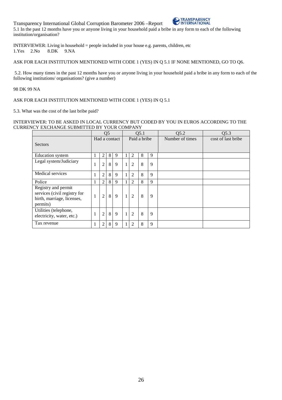Transparency International Global Corruption Barometer 2006 –Report 5.1 In the past 12 months have you or anyone living in your household paid a bribe in any form to each of the following institution/organisation?

INTERVIEWER: Living in household = people included in your house e.g. parents, children, etc 1.Yes 2.No 8.DK 9.NA  $1.Yes$   $2.No$ 

ASK FOR EACH INSTITUTION MENTIONED WITH CODE 1 (YES) IN Q 5.1 IF NONE MENTIONED, GO TO Q6.

 5.2. How many times in the past 12 months have you or anyone living in your household paid a bribe in any form to each of the following institutions/ organisations? (give a number)

#### 98 DK 99 NA

#### ASK FOR EACH INSTITUTION MENTIONED WITH CODE 1 (YES) IN Q 5.1

5.3. What was the cost of the last bribe paid?

#### INTERVIEWER: TO BE ASKED IN LOCAL CURRENCY BUT CODED BY YOU IN EUROS ACCORDING TO THE CURRENCY EXCHANGE SUBMITTED BY YOUR COMPANY

|                                                                                               |   |                | Q <sub>5</sub> |               | Q5.1         |                |   |   | Q5.2            | Q5.3               |
|-----------------------------------------------------------------------------------------------|---|----------------|----------------|---------------|--------------|----------------|---|---|-----------------|--------------------|
| <b>Sectors</b>                                                                                |   |                |                | Had a contact | Paid a bribe |                |   |   | Number of times | cost of last bribe |
| Education system                                                                              | 1 | 2              | 8              | 9             |              | 2              | 8 | 9 |                 |                    |
| Legal system/Judiciary                                                                        | 1 | $\overline{c}$ | 8              | $\mathbf{Q}$  | $\mathbf{1}$ | 2              | 8 | 9 |                 |                    |
| Medical services                                                                              | 1 | $\overline{c}$ | 8              | 9             | $\mathbf{1}$ | $\overline{2}$ | 8 | 9 |                 |                    |
| Police                                                                                        | 1 | $\overline{c}$ | 8              | 9             |              | 2              | 8 | 9 |                 |                    |
| Registry and permit<br>services (civil registry for<br>birth, marriage, licenses,<br>permits) | 1 | $\overline{c}$ | 8              | 9             | $\mathbf{1}$ | 2              | 8 | 9 |                 |                    |
| Utilities (telephone,<br>electricity, water, etc.)                                            | 1 | $\overline{c}$ | 8              | $\mathbf{Q}$  | $\mathbf{1}$ | $\overline{2}$ | 8 | 9 |                 |                    |
| Tax revenue                                                                                   | 1 | 2              | 8              | 9             |              | 2              | 8 | 9 |                 |                    |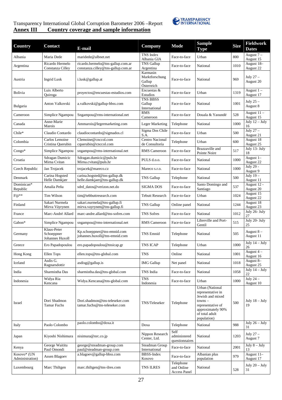

### Transparency International Global Corruption Barometer 2006 –Report **Annex III Country coverage and sample information**

| <b>Country</b>                 | <b>Contact</b>                               | E-mail                                                                  | Company                                            | <b>Mode</b>                             | <b>Sample</b><br><b>Type</b>                                                                                                                     | <b>Size</b> | Fieldwork<br><b>Dates</b> |
|--------------------------------|----------------------------------------------|-------------------------------------------------------------------------|----------------------------------------------------|-----------------------------------------|--------------------------------------------------------------------------------------------------------------------------------------------------|-------------|---------------------------|
| Albania                        | Maria Dede                                   | maridede@albnet.net                                                     | TNS Index<br>Albania GIA                           | Face-to-face                            | Urban                                                                                                                                            | 800         | August $7-$<br>August 15  |
| Argentina                      | Ricardo Hermelo<br>Constanza Cilley          | ricardo.hermelo@tns-gallup.com.ar<br>constanza.cilley@tns-gallup.com.ar | <b>TNS Gallup</b><br>Argentina                     | Face-to-face                            | National                                                                                                                                         | 1010        | August 18-<br>August 22   |
| Austria                        | Ingrid Lusk                                  | i.lusk@gallup.at                                                        | Karmasin<br>Marktforschung<br>Gallup<br>Österreich | Face-to-face                            | National                                                                                                                                         | 969         | July $27 -$<br>August 20  |
| Bolivia                        | Luis Alberto<br>Quiroga                      | proyectos@encuestas-estudios.com                                        | Encuestas &<br>Estudios                            | Face-to-face                            | Urban                                                                                                                                            | 1319        | August $1 -$<br>August 17 |
| Bulgaria                       | Anton Valkovski                              | a.valkovski@gallup-bbss.com                                             | TNS BBSS<br>Gallup<br>International                | Face-to-face                            | National                                                                                                                                         | 1001        | July $25-$<br>August 8    |
| Cameroon                       | Simplice Ngampou                             | Sngampou@rms-international.net                                          | <b>RMS</b><br>Cameroon                             | Face-to-face                            | Douala & Yaoundé                                                                                                                                 | 528         | August 11-<br>August 15   |
| Canada                         | Anne-Marie<br>Marois                         | Ammarois@legermarketing.com                                             | <b>Leger Marketing</b>                             | Telephone                               | National                                                                                                                                         | 1000        | July $12 -$ July<br>16    |
| Chile*                         | Claudio Contardo                             | claudiocontardo@sigmados.cl                                             | Sigma Dos Chile<br>S.A.                            | Face-to-face                            | Urban                                                                                                                                            | 500         | July $27 -$<br>August 21  |
| Colombia                       | Carlos Lemoine<br>Cristina Querubin          | Clemoine@cnccol.com<br>cquerubin@cnccol.com                             | Centro Nacional<br>de Consultoría                  | Telephone                               | Urban                                                                                                                                            | 600         | August 18<br>August 25    |
| $Congo*$                       | Simplice Ngampou                             | sngampou@rms-international.net                                          | <b>RMS</b> Cameroon                                | Face-to-face                            | Brazzaville and<br>Pointe Noire                                                                                                                  | 517         | July 13- July<br>18       |
| Croatia                        | <b>Sdragan Dumicic</b><br>Mirna Cvitan       | Sdragan.dumicic@puls.hr<br>Mirna.cvitan@puls.hr                         | PULS d.o.o.                                        | Face-to-face                            | National                                                                                                                                         | 1000        | August 1-<br>August 22    |
| Czech Republic                 | Jan Trojacek                                 | trojacek@mareco.cz                                                      | Mareco s.r.o.                                      | Face-to-face                            | National                                                                                                                                         | 1000        | July 29 -<br>August 9     |
| Denmark                        | Carina Hogsted<br>Helle Damkjær              | carina.hogsted@tns-gallup.dk<br>helle.damkjaer@tns-gallup.dk            | TNS Gallup                                         | Telephone                               | National                                                                                                                                         | 500         | July $19-$<br>August 11   |
| Dominican*<br>Republic         | Amalia Peña                                  | sdrd_datos@verizon.net.do                                               | SIGMA DOS                                          | Face-to-face                            | Santo Domingo and<br>Santiago                                                                                                                    | 537         | August 12 -<br>August 20  |
| Fiji**                         | Tim Wilson                                   | tim@tebbuttresearch.com                                                 | <b>Tebutt Research</b>                             | Face-to-face                            | Urban                                                                                                                                            | 1024        | August 15<br>August 22    |
| Finland                        | Sakari Nurmela<br>Mirva Väyrynen             | sakari.nurmela@tns-gallup.fi<br>mirva.vayrynen@tns-gallup.fi            | TNS Gallup                                         | Online panel                            | National                                                                                                                                         | 1244        | August 18<br>August 23    |
| France                         | Marc-André Allard                            | marc-andre.allard@tns-sofres.com                                        | <b>TNS Sofres</b>                                  | Face-to-face                            | National                                                                                                                                         | 1012        | July 26- July<br>27       |
| Gabon*                         | Simplice Ngampou                             | sngampou@rms-international.net                                          | <b>RMS</b> Cameroon                                | Face-to-face                            | Libreville and Port-<br>Gentil                                                                                                                   | 515         | July 20- July<br>25       |
| Germany                        | Klaus-Peter<br>Schoeppner<br>Johannes Huxoll | Kp.schoeppner@tns-emnid.com<br>johannes.huxoll@tns-emnid.com            | <b>TNS Emnid</b>                                   | Telephone                               | National                                                                                                                                         | 505         | August $8-$<br>August 11  |
| Greece                         | Ero Papadopoulou                             | ero.papadopoulou@tnsicap.gr                                             | <b>TNS ICAP</b>                                    | Telephone                               | Urban                                                                                                                                            | 1000        | July $14 -$ July<br>26    |
| Hong Kong                      | Ellen Tops                                   | ellen.tops@tns-global.com                                               | <b>TNS</b>                                         | Online                                  | National                                                                                                                                         | 1001        | August 4<br>August 16     |
| Iceland                        | Asdis G.<br>Ragnarsdottir                    | asdisg@gallup.is                                                        | <b>IMG</b> Gallup                                  | Net panel                               | National                                                                                                                                         | 1018        | August 8-<br>August 25    |
| India                          | Sharmistha Das                               | sharmistha.das@tns-global.com                                           | TNS India                                          | Face-to-face                            | National                                                                                                                                         | 1058        | July $14 -$ July<br>22    |
| Indonesia                      | Widya Ria<br>Kencana                         | Widya.Kencana@tns-global.com                                            | <b>TNS</b><br>Indonesia                            | Face-to-face                            | Urban                                                                                                                                            | 1000        | July $24-$<br>August 10   |
| Israel                         | Dori Shadmon<br>Tamar Fuchs                  | Dori.shadmon@tns-teleseker.com<br>tamar.fuchs@tns-teleseker.com         | TNS/Teleseker                                      | Telephone                               | Urban (National<br>representative in<br>Jewish and mixed<br>$towns -$<br>representative of<br>approximately 90%<br>of total adult<br>population) | 500         | July $18 -$ July<br>19    |
| Italy                          | Paolo Colombo                                | paolo.colombo@doxa.it                                                   | Doxa                                               | Telephone                               | National                                                                                                                                         | 988         | July $26 -$ July<br>31    |
| Japan                          | Kiyoshi Nishimura                            | nisimura@nrc.co.jp                                                      | Nippon Research<br>Center, Ltd.                    | Self<br>administered<br>questionnaires  | National                                                                                                                                         | 1203        | July $27-$<br>August 7    |
| Kenya                          | George Waititu<br>Paul Omondi                | george@steadman-group.com<br>paul@steadman-group.com                    | Steadman Group<br>International                    | Face-to-face                            | National                                                                                                                                         | 2001        | July $8 -$ July<br>13     |
| Kosovo* (UN<br>Administration) | <b>Assen Blagoev</b>                         | a.blagoev@gallup-bbss.com                                               | <b>BBSS-Index</b><br>Kosovo                        | Face-to-face                            | Albanian plus<br>population                                                                                                                      | 979         | August 11-<br>August 17   |
| Luxembourg                     | Marc Thiltgen                                | marc.thiltgen@tns-ilres.com                                             | <b>TNS ILRES</b>                                   | Telephone<br>and Online<br>Access Panel | National                                                                                                                                         | 528         | July $20 -$ July<br>31    |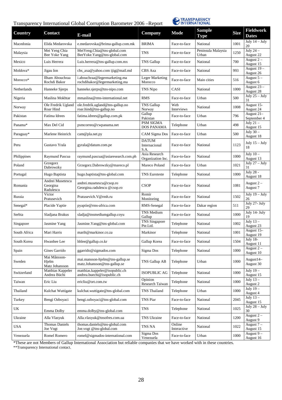

| <b>Country</b> | <b>Contact</b>                            | E-mail                                                          | Company                               | <b>Mode</b>           | <b>Sample</b><br><b>Type</b> | <b>Size</b> | <b>Fieldwork</b><br><b>Dates</b> |
|----------------|-------------------------------------------|-----------------------------------------------------------------|---------------------------------------|-----------------------|------------------------------|-------------|----------------------------------|
| Macedonia      | Elida Medarovska                          | e.medarovska@brima-gallup.com.mk                                | <b>BRIMA</b>                          | Face-to-face          | National                     | 1001        | July $14 -$ July<br>20           |
| Malaysia       | Mei Yeng Chia<br>Bee Yoke Yang            | MeiYeng.Chia@tns-global.com<br>BeeYoke.Yang@tns-global.com      | TNS                                   | Face-to-face          | Peninsula Malaysia<br>Urban  | 1250        | July $24-$<br>August 22          |
| Mexico         | Luis Herrera                              | Luis.herrera@tns-gallup.com.mx                                  | <b>TNS Gallup</b>                     | Face-to-face          | National                     | 700         | August $2-$<br>August 15         |
| Moldova*       | Jigau Ion                                 | cbs_axa@yahoo.com ijig@mail.md                                  | CBS Axa                               | Face-to-face          | National                     | 993         | August 19-<br>August 26          |
| Morocco*       | Ilham Abouchraa<br>Rochdi Bakor           | i.abouchraa@legermarketing.ma<br>rochdibakor@legermarketing.ma  | <b>Leger Marketing</b><br>Morocco     | Face-to-face          | Main cities                  | 516         | August $5-$<br>August 6          |
| Netherlands    | Hanneke Sjerps                            | hanneke.sjerps@tns-nipo.com                                     | TNS Nipo                              | CASI                  | National                     | 1000        | August 23 -<br>August 28         |
| Nigeria        | Maslina Mokhtar                           | mmaslina@rms-international.net                                  | <b>RMS</b>                            | Face-to-face          | Urban                        | 500         | July $25 -$ July<br>31           |
| Norway         | Ole Fredrik Ugland<br>Roar Hind           | ole.fredrik.ugland@tns-gallup.no<br>roar.hind@tns-gallup.no     | TNS Gallup<br>Norway                  | Web<br>Interviews     | National                     | 1008        | August 15-<br>August 24          |
| Pakistan       | Fatima Idrees                             | fatima.idrees@gallup.com.pk                                     | Gallup<br>Pakistan                    | Face-to-face          | Urban                        | 796         | August 21-<br>September 4        |
| Panama*        | Max Del Cid                               | psmcorreo@cwpanama.net                                          | PSM SIGMA<br><b>DOS PANAMA</b>        | Telephone             | Urban                        | 498         | July $21 -$<br>August 15         |
| Paraguay*      | Marlene Heinrich                          | cam@pla.net.py                                                  | CAM Sigma Dos                         | Face-to-face          | Urban                        | 500         | July $30-$<br>August 18          |
| Peru           | Gustavo Yrala                             | gyrala@datum.com.pe                                             | <b>DATUM</b><br>Internacional<br>S.A. | Face-to-face          | National                     | 1123        | July $15 -$ July<br>18           |
| Philippines    | Raymund Pascua                            | raymund.pascua@asiaresearch.com.ph                              | Asia Research<br>Organization Inc.    | Face-to-face          | National                     | 1000        | July $10-$<br>August 13          |
| Poland         | Grzegorz<br>Dabrowzky                     | Grzegorz.Dabrowzky@mareco.pl                                    | Mareco Poland                         | Face-to-face          | Urban                        | 1021        | July $27 -$ July<br>31           |
| Portugal       | Hugo Baptista                             | hugo.baptista@tns-global.com                                    | <b>TNS Euroteste</b>                  | Telephone             | National                     | 1000        | July 28 -<br>August 18           |
| Romania        | Andrei Musetescu<br>Georgina<br>Radulescu | andrei.musetescu@csop.ro<br>Georgina.radulescu @csop.ro         | <b>CSOP</b>                           | Face-to-face          | National                     | 1081        | August $2 -$<br>August 7         |
| Russia         | Victor<br>Pratusevich                     | Pratusevich. V@rmh.ru                                           | Romir<br>Monitoring                   | Face-to-face          | National                     | 1502        | July $19 -$ July<br>26           |
| Senegal*       | Placide Yaptie                            | pyaptie@rms-africa.com                                          | RMS-Senegal                           | Face-to-face          | Dakar region                 | 511         | July 27- July<br>29              |
| Serbia         | Sladjana Brakus                           | sladja@tnsmediumgallup.coyu                                     | TNS Medium<br>Gallup                  | Face-to-face          | National                     | 1000        | July 14- July<br>19              |
| Singapore      | Jasmine Yang                              | Jasmine.Yang@tns-global.com                                     | <b>TNS</b> Singapore<br>Pte.Ltd.      | Telephone             | National                     | 1002        | July $13-$<br>August 23          |
| South Africa   | Mari Harris                               | marih@markinor.co.za                                            | Markinor                              | Telephone             | National                     | 1001        | August 15-<br>August 19          |
| South Korea    | Hwanhee Lee                               | hhlee@gallup.co.kr                                              | Gallup Korea                          | Face-to-face          | National                     | 1504        | <b>July 18-</b><br>August 11     |
| Spain          | Gines Garrido                             | ggarrido@sigmados.com                                           | Sigma Dos                             | Telephone             | National                     | 1000        | August $2 -$<br>August 10        |
| Sweden         | Mai Månsson-<br>Hjelm<br>Matz Johansson   | mai.mansson-hjelm@tns-gallup.se<br>matz.Johansson@tns-gallup.se | TNS Gallup AB                         | Telephone             | Urban                        | 1000        | August14-<br>August 30           |
| Switzerland    | Matthias Kappeler<br>Andrea Büchi         | matthias.kappeler@isopublic.ch<br>andrea.buechi@isopublic.ch    | <b>ISOPUBLIC AG</b>                   | Telephone             | National                     | 1000        | July $19-$<br>August 15          |
| Taiwan         | Eric Liu                                  | ericliu@ort.com.tw                                              | Opinion<br>Research Taiwan            | Telephone             | National                     | 1000        | July $13-$<br>August 2           |
| Thailand       | Kulchat Wuttigate                         | kulchat.wuttigate@tns-global.com                                | TNS Thailand                          | Telephone             | Urban                        | 1000        | July $19-$<br>August 4           |
| Turkey         | Bengi Ozboyaci                            | bengi.ozboyaci@tns-global.com                                   | TNS Piar                              | Face-to-face          | National                     | 2045        | July $13-$<br>August 15          |
| UK             | Emma Dolby                                | emma.dolby@tns-global.com                                       | <b>TNS</b>                            | Telephone             | National                     | 1025        | July $28 -$ July<br>30           |
| Ukraine        | Alla Vlasyuk                              | Alla.vlasyuk@tnsofres.com.ua                                    | TNS Ukraine                           | Face-to-face          | National                     | 1200        | August $2 -$<br>August 9         |
| <b>USA</b>     | <b>Thomas Daniels</b><br>Joe Vogt         | thomas.daniels@tns-global.com<br>Joe.vogt @tns-global.com       | TNS NA                                | Online<br>Interactive | National                     | 1022        | August $7 -$<br>August 15        |
| Venezuela      | Romel Romero                              | romel@sigmados-international.com                                | Sigma Dos<br>Venezuela                | Face-to-face          | Urban                        | 1000        | August 9-<br>August 16           |

\*These are not Members of Gallup International Association but reliable companies that we have worked with in these countries.

\*\*Transparency International contact.